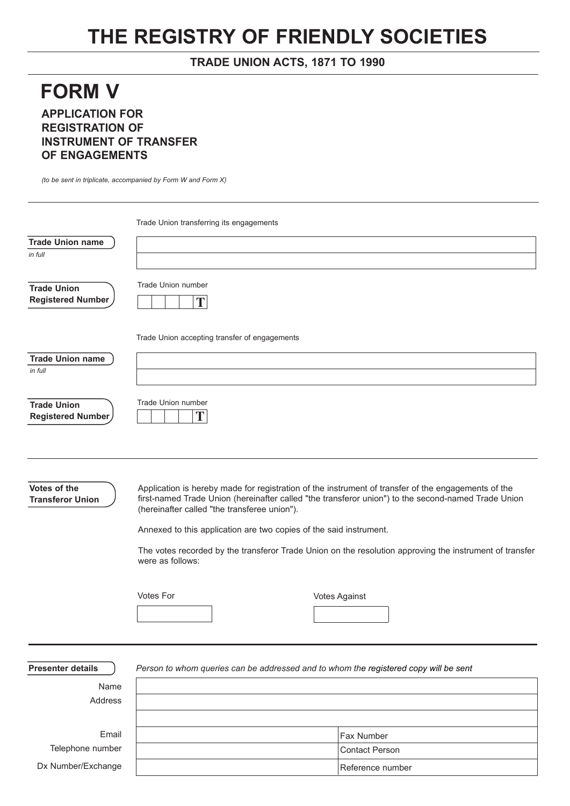## **THE REGISTRY OF FRIENDLY SOCIETIES**

## **TRADE UNION ACTS, 1871 TO 1990**

## **FORM V APPLICATION FOR REGISTRATION OF INSTRUMENT OF TRANSFER OF ENGAGEMENTS**

*(to be sent in triplicate, accompanied by Form W and Form X)*

|                                                | Trade Union transferring its engagements                                                                                                                                                                                                                   |                       |
|------------------------------------------------|------------------------------------------------------------------------------------------------------------------------------------------------------------------------------------------------------------------------------------------------------------|-----------------------|
| <b>Trade Union name</b>                        |                                                                                                                                                                                                                                                            |                       |
| in full                                        |                                                                                                                                                                                                                                                            |                       |
| <b>Trade Union</b><br><b>Registered Number</b> | Trade Union number<br>T                                                                                                                                                                                                                                    |                       |
|                                                | Trade Union accepting transfer of engagements                                                                                                                                                                                                              |                       |
| <b>Trade Union name</b>                        |                                                                                                                                                                                                                                                            |                       |
| in full                                        |                                                                                                                                                                                                                                                            |                       |
| <b>Trade Union</b><br>Registered Number        | <b>Trade Union number</b><br>T                                                                                                                                                                                                                             |                       |
|                                                |                                                                                                                                                                                                                                                            |                       |
| Votes of the<br><b>Transferor Union</b>        | Application is hereby made for registration of the instrument of transfer of the engagements of the<br>first-named Trade Union (hereinafter called "the transferor union") to the second-named Trade Union<br>(hereinafter called "the transferee union"). |                       |
|                                                | Annexed to this application are two copies of the said instrument.                                                                                                                                                                                         |                       |
|                                                | The votes recorded by the transferor Trade Union on the resolution approving the instrument of transfer<br>were as follows:                                                                                                                                |                       |
|                                                | Votes For                                                                                                                                                                                                                                                  | <b>Votes Against</b>  |
|                                                |                                                                                                                                                                                                                                                            |                       |
|                                                |                                                                                                                                                                                                                                                            |                       |
|                                                |                                                                                                                                                                                                                                                            |                       |
| <b>Presenter details</b>                       | Person to whom queries can be addressed and to whom the registered copy will be sent                                                                                                                                                                       |                       |
| Name                                           |                                                                                                                                                                                                                                                            |                       |
| Address                                        |                                                                                                                                                                                                                                                            |                       |
|                                                |                                                                                                                                                                                                                                                            |                       |
| Email                                          |                                                                                                                                                                                                                                                            | Fax Number            |
| Telephone number                               |                                                                                                                                                                                                                                                            | <b>Contact Person</b> |

Reference number

Dx Number/Exchange